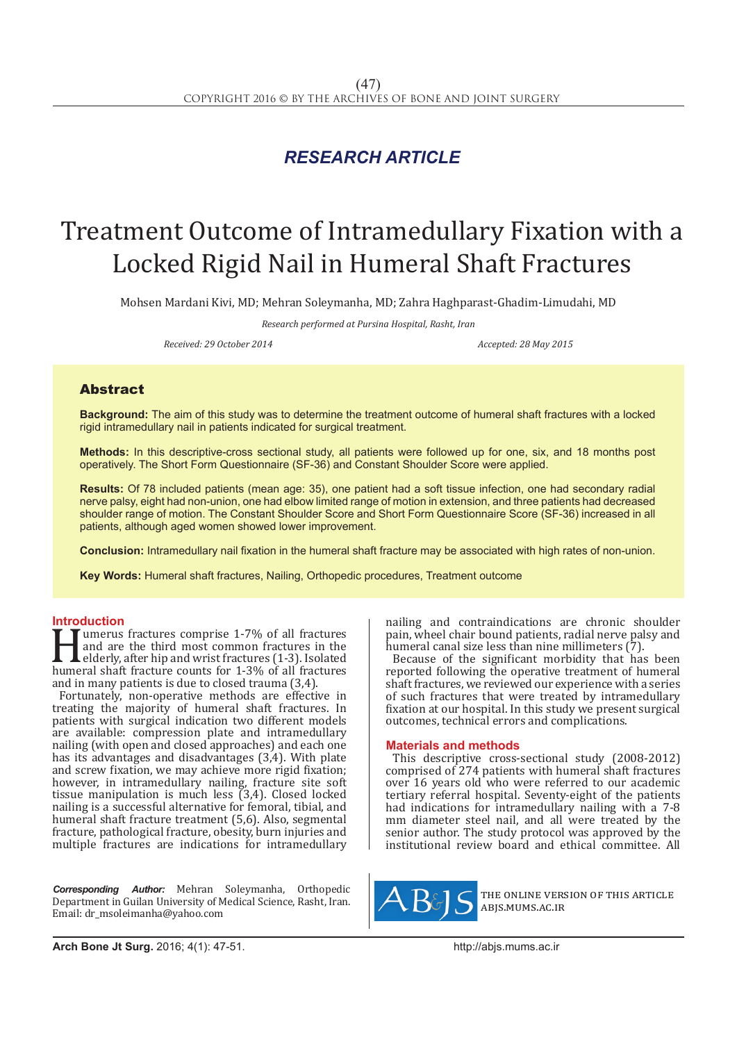## *RESEARCH ARTICLE*

# Treatment Outcome of Intramedullary Fixation with a Locked Rigid Nail in Humeral Shaft Fractures

Mohsen Mardani Kivi, MD; Mehran Soleymanha, MD; Zahra Haghparast-Ghadim-Limudahi, MD

*Research performed at Pursina Hospital, Rasht, Iran*

*Received: 29 October 2014 Accepted: 28 May 2015*

### Abstract

**Background:** The aim of this study was to determine the treatment outcome of humeral shaft fractures with a locked rigid intramedullary nail in patients indicated for surgical treatment.

**Methods:** In this descriptive-cross sectional study, all patients were followed up for one, six, and 18 months post operatively. The Short Form Questionnaire (SF-36) and Constant Shoulder Score were applied.

**Results:** Of 78 included patients (mean age: 35), one patient had a soft tissue infection, one had secondary radial nerve palsy, eight had non-union, one had elbow limited range of motion in extension, and three patients had decreased shoulder range of motion. The Constant Shoulder Score and Short Form Questionnaire Score (SF-36) increased in all patients, although aged women showed lower improvement.

**Conclusion:** Intramedullary nail fixation in the humeral shaft fracture may be associated with high rates of non-union.

**Key Words:** Humeral shaft fractures, Nailing, Orthopedic procedures, Treatment outcome

**Introduction**<br>**T T** umerus fractures comprise 1-7% of all fractures I and are the third most common fractures in the<br>
elderly, after hip and wrist fractures (1-3). Isolated<br>
humeral shaft fracture counts for 1-3% of all fractures<br>
and in many patients is due to closed trauma (3.4) and are the third most common fractures in the elderly, after hip and wrist fractures (1-3). Isolated and in many patients is due to closed trauma (3,4).

Fortunately, non-operative methods are effective in treating the majority of humeral shaft fractures. In patients with surgical indication two different models are available: compression plate and intramedullary nailing (with open and closed approaches) and each one has its advantages and disadvantages (3,4). With plate and screw fixation, we may achieve more rigid fixation; however, in intramedullary nailing, fracture site soft tissue manipulation is much less (3,4). Closed locked nailing is a successful alternative for femoral, tibial, and humeral shaft fracture treatment (5,6). Also, segmental fracture, pathological fracture, obesity, burn injuries and multiple fractures are indications for intramedullary

*Corresponding Author:* Mehran Soleymanha, Orthopedic Department in Guilan University of Medical Science, Rasht, Iran. Email: dr\_msoleimanha@yahoo.com

nailing and contraindications are chronic shoulder pain, wheel chair bound patients, radial nerve palsy and humeral canal size less than nine millimeters (7).

Because of the significant morbidity that has been reported following the operative treatment of humeral shaft fractures, we reviewed our experience with a series of such fractures that were treated by intramedullary fixation at our hospital. In this study we present surgical outcomes, technical errors and complications.

### **Materials and methods**

This descriptive cross-sectional study (2008-2012) comprised of 274 patients with humeral shaft fractures over 16 years old who were referred to our academic tertiary referral hospital. Seventy-eight of the patients had indications for intramedullary nailing with a 7-8 mm diameter steel nail, and all were treated by the senior author. The study protocol was approved by the institutional review board and ethical committee. All



the online version of this article abjs.mums.ac.ir

**Arch Bone Jt Surg.** 2016; 4(1): 47-51.http://abjs.mums.ac.ir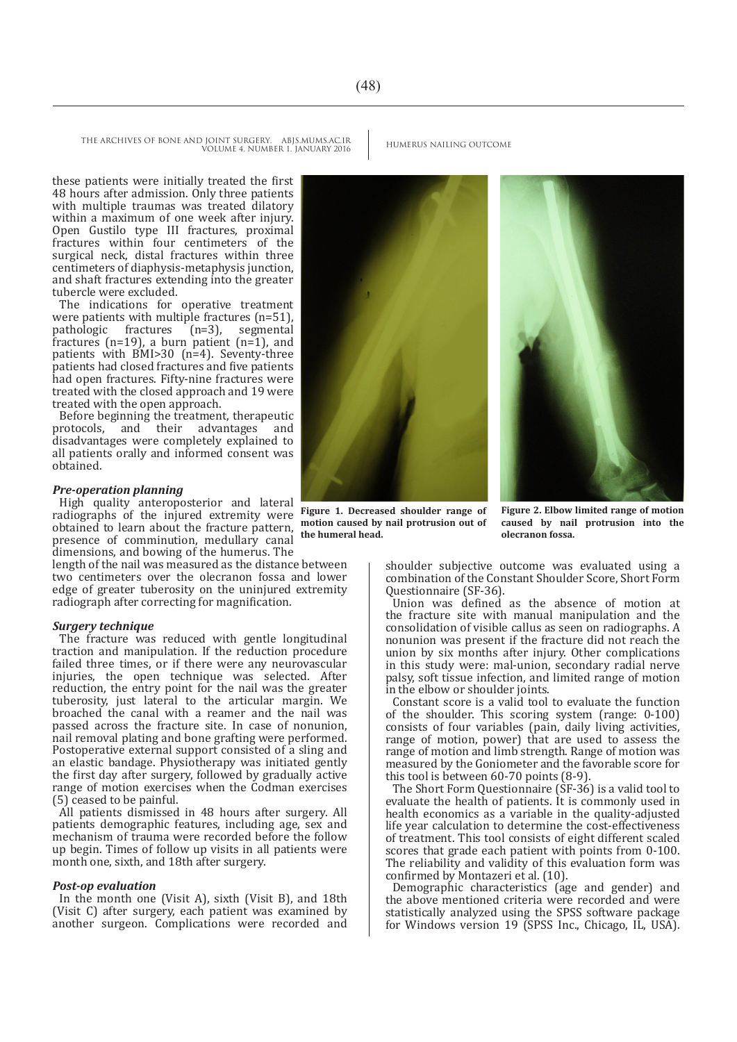these patients were initially treated the first 48 hours after admission. Only three patients with multiple traumas was treated dilatory within a maximum of one week after injury. Open Gustilo type III fractures, proximal fractures within four centimeters of the surgical neck, distal fractures within three centimeters of diaphysis-metaphysis junction, and shaft fractures extending into the greater tubercle were excluded.

The indications for operative treatment were patients with multiple fractures  $(n=51)$ ,<br>pathologic fractures  $(n=3)$ , segmental pathologic fractures  $(n=3)$ , fractures ( $n=19$ ), a burn patient ( $n=1$ ), and patients with BMI>30 (n=4). Seventy-three patients had closed fractures and five patients had open fractures. Fifty-nine fractures were treated with the closed approach and 19 were treated with the open approach.

Before beginning the treatment, therapeutic<br>protocols. and their advantages and protocols, and their advantages disadvantages were completely explained to all patients orally and informed consent was obtained.

#### *Pre-operation planning*

High quality anteroposterior and lateral radiographs of the injured extremity were obtained to learn about the fracture pattern, presence of comminution, medullary canal dimensions, and bowing of the humerus. The

length of the nail was measured as the distance between two centimeters over the olecranon fossa and lower edge of greater tuberosity on the uninjured extremity radiograph after correcting for magnification.

#### *Surgery technique*

The fracture was reduced with gentle longitudinal traction and manipulation. If the reduction procedure failed three times, or if there were any neurovascular injuries, the open technique was selected. After reduction, the entry point for the nail was the greater tuberosity, just lateral to the articular margin. We broached the canal with a reamer and the nail was passed across the fracture site. In case of nonunion, nail removal plating and bone grafting were performed. Postoperative external support consisted of a sling and an elastic bandage. Physiotherapy was initiated gently the first day after surgery, followed by gradually active range of motion exercises when the Codman exercises (5) ceased to be painful.

All patients dismissed in 48 hours after surgery. All patients demographic features, including age, sex and mechanism of trauma were recorded before the follow up begin. Times of follow up visits in all patients were month one, sixth, and 18th after surgery.

### *Post-op evaluation*

In the month one (Visit A), sixth (Visit B), and 18th (Visit C) after surgery, each patient was examined by another surgeon. Complications were recorded and

**motion caused by nail protrusion out of the humeral head.**

**Figure 2. Elbow limited range of motion caused by nail protrusion into the olecranon fossa.**

shoulder subjective outcome was evaluated using a combination of the Constant Shoulder Score, Short Form Questionnaire (SF-36).

Union was defined as the absence of motion at the fracture site with manual manipulation and the consolidation of visible callus as seen on radiographs. A nonunion was present if the fracture did not reach the union by six months after injury. Other complications in this study were: mal-union, secondary radial nerve palsy, soft tissue infection, and limited range of motion in the elbow or shoulder joints.

Constant score is a valid tool to evaluate the function of the shoulder. This scoring system (range: 0-100) consists of four variables (pain, daily living activities, range of motion, power) that are used to assess the range of motion and limb strength. Range of motion was measured by the Goniometer and the favorable score for this tool is between 60-70 points (8-9).

The Short Form Questionnaire (SF-36) is a valid tool to evaluate the health of patients. It is commonly used in health economics as a variable in the quality-adjusted life year calculation to determine the cost-effectiveness of treatment. This tool consists of eight different scaled scores that grade each patient with points from 0-100. The reliability and validity of this evaluation form was confirmed by Montazeri et al. (10).

Demographic characteristics (age and gender) and the above mentioned criteria were recorded and were statistically analyzed using the SPSS software package for Windows version 19 (SPSS Inc., Chicago, IL, USA).

**Figure 1. Decreased shoulder range of** 

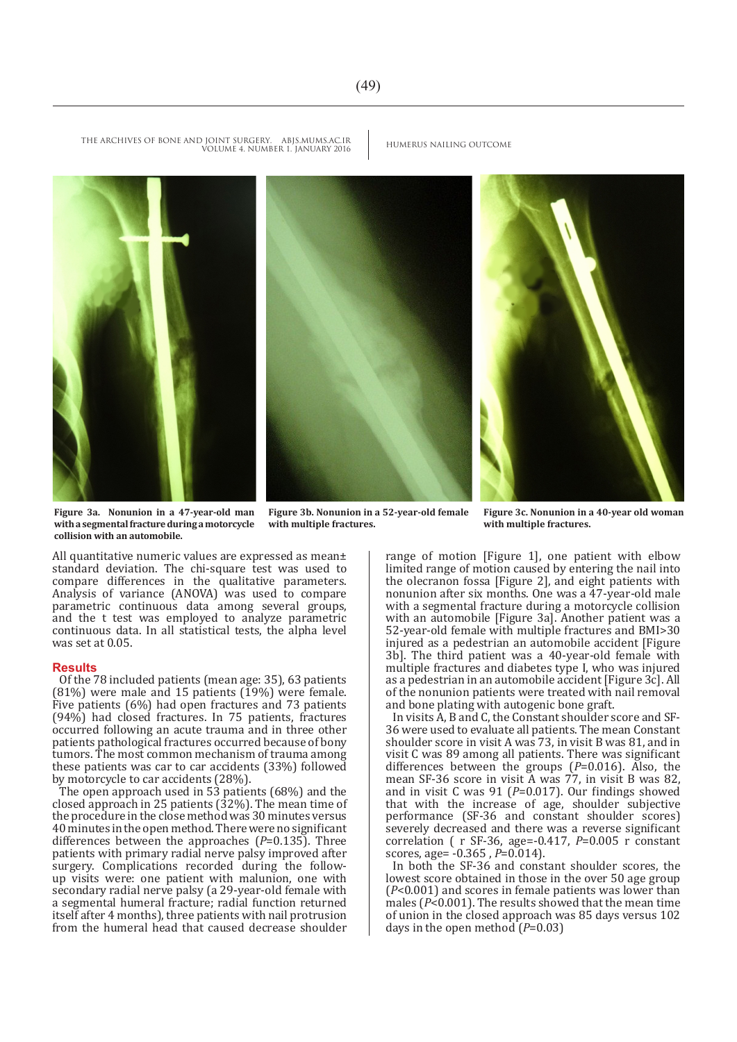#### THE ARCHIVES OF BONE AND JOINT SURGERY. ABJS.MUMS.AC.IR HUMERUS NAILING OUTCOME VOLUME 4. NUMBER 1. JANUARY 2016



**Figure 3a. Nonunion in a 47-year-old man with a segmental fracture during a motorcycle collision with an automobile.**

**Figure 3b. Nonunion in a 52-year-old female with multiple fractures.**

**Figure 3c. Nonunion in a 40-year old woman with multiple fractures.**

All quantitative numeric values are expressed as mean± standard deviation. The chi-square test was used to compare differences in the qualitative parameters. Analysis of variance (ANOVA) was used to compare parametric continuous data among several groups, and the t test was employed to analyze parametric continuous data. In all statistical tests, the alpha level was set at 0.05.

#### **Results**

Of the 78 included patients (mean age: 35), 63 patients  $(81%)$  were male and 15 patients  $(19%)$  were female. Five patients (6%) had open fractures and 73 patients (94%) had closed fractures. In 75 patients, fractures occurred following an acute trauma and in three other patients pathological fractures occurred because of bony tumors. The most common mechanism of trauma among these patients was car to car accidents (33%) followed by motorcycle to car accidents (28%).

The open approach used in 53 patients (68%) and the closed approach in 25 patients (32%). The mean time of the procedure in the close method was 30 minutes versus 40 minutes in the open method. There were no significant differences between the approaches (*P*=0.135). Three patients with primary radial nerve palsy improved after surgery. Complications recorded during the followup visits were: one patient with malunion, one with secondary radial nerve palsy (a 29-year-old female with a segmental humeral fracture; radial function returned itself after 4 months), three patients with nail protrusion from the humeral head that caused decrease shoulder range of motion [Figure 1], one patient with elbow limited range of motion caused by entering the nail into the olecranon fossa [Figure 2], and eight patients with nonunion after six months. One was a 47-year-old male with a segmental fracture during a motorcycle collision with an automobile [Figure 3a]. Another patient was a 52-year-old female with multiple fractures and BMI>30 injured as a pedestrian an automobile accident [Figure 3b]. The third patient was a 40-year-old female with multiple fractures and diabetes type I, who was injured as a pedestrian in an automobile accident [Figure 3c]. All of the nonunion patients were treated with nail removal and bone plating with autogenic bone graft.

In visits A, B and C, the Constant shoulder score and SF-36 were used to evaluate all patients. The mean Constant shoulder score in visit A was 73, in visit B was 81, and in visit C was 89 among all patients. There was significant differences between the groups (*P*=0.016). Also, the mean SF-36 score in visit A was 77, in visit B was 82, and in visit C was 91 (*P*=0.017). Our findings showed that with the increase of age, shoulder subjective performance (SF-36 and constant shoulder scores) severely decreased and there was a reverse significant correlation ( r SF-36, age=-0.417, *P*=0.005 r constant scores, age= -0.365 , *P*=0.014).

In both the SF-36 and constant shoulder scores, the lowest score obtained in those in the over 50 age group (*P*<0.001) and scores in female patients was lower than males (*P*<0.001). The results showed that the mean time of union in the closed approach was 85 days versus 102 days in the open method  $(P=0.03)$ 

 $(49)$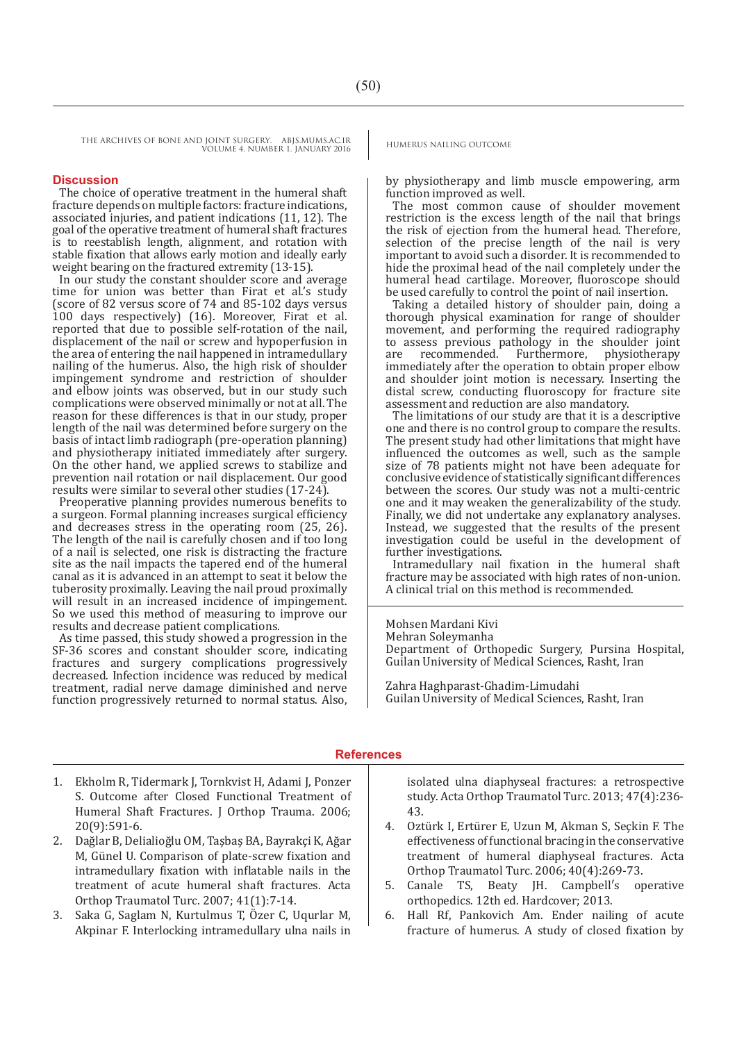THE ARCHIVES OF BONE AND JOINT SURGERY. ABJS.MUMS.AC.IR HUMERUS NAILING OUTCOME VOLUME 4. NUMBER 1. JANUARY 2016

### **Discussion**

The choice of operative treatment in the humeral shaft fracture depends on multiple factors: fracture indications, associated injuries, and patient indications (11, 12). The goal of the operative treatment of humeral shaft fractures is to reestablish length, alignment, and rotation with stable fixation that allows early motion and ideally early weight bearing on the fractured extremity (13-15).

In our study the constant shoulder score and average time for union was better than Firat et al.'s study (score of 82 versus score of 74 and 85-102 days versus 100 days respectively) (16). Moreover, Firat et al. reported that due to possible self-rotation of the nail, displacement of the nail or screw and hypoperfusion in the area of entering the nail happened in intramedullary nailing of the humerus. Also, the high risk of shoulder impingement syndrome and restriction of shoulder and elbow joints was observed, but in our study such complications were observed minimally or not at all. The reason for these differences is that in our study, proper length of the nail was determined before surgery on the basis of intact limb radiograph (pre-operation planning) and physiotherapy initiated immediately after surgery. On the other hand, we applied screws to stabilize and prevention nail rotation or nail displacement. Our good results were similar to several other studies (17-24).

Preoperative planning provides numerous benefits to a surgeon. Formal planning increases surgical efficiency and decreases stress in the operating room (25, 26). The length of the nail is carefully chosen and if too long of a nail is selected, one risk is distracting the fracture site as the nail impacts the tapered end of the humeral canal as it is advanced in an attempt to seat it below the tuberosity proximally. Leaving the nail proud proximally will result in an increased incidence of impingement. So we used this method of measuring to improve our results and decrease patient complications.

As time passed, this study showed a progression in the SF-36 scores and constant shoulder score, indicating fractures and surgery complications progressively decreased. Infection incidence was reduced by medical treatment, radial nerve damage diminished and nerve function progressively returned to normal status. Also,

by physiotherapy and limb muscle empowering, arm function improved as well.

The most common cause of shoulder movement restriction is the excess length of the nail that brings the risk of ejection from the humeral head. Therefore, selection of the precise length of the nail is very important to avoid such a disorder. It is recommended to hide the proximal head of the nail completely under the humeral head cartilage. Moreover, fluoroscope should be used carefully to control the point of nail insertion.

Taking a detailed history of shoulder pain, doing a thorough physical examination for range of shoulder movement, and performing the required radiography to assess previous pathology in the shoulder joint are recommended. Furthermore, physiotherapy are recommended. Furthermore, physiotherapy immediately after the operation to obtain proper elbow and shoulder joint motion is necessary. Inserting the distal screw, conducting fluoroscopy for fracture site assessment and reduction are also mandatory.

The limitations of our study are that it is a descriptive one and there is no control group to compare the results. The present study had other limitations that might have influenced the outcomes as well, such as the sample size of 78 patients might not have been adequate for conclusive evidence of statistically significant differences between the scores. Our study was not a multi-centric one and it may weaken the generalizability of the study. Finally, we did not undertake any explanatory analyses. Instead, we suggested that the results of the present investigation could be useful in the development of further investigations.

Intramedullary nail fixation in the humeral shaft fracture may be associated with high rates of non-union. A clinical trial on this method is recommended.

Mohsen Mardani Kivi

Mehran Soleymanha Department of Orthopedic Surgery, Pursina Hospital, Guilan University of Medical Sciences, Rasht, Iran

Zahra Haghparast-Ghadim-Limudahi Guilan University of Medical Sciences, Rasht, Iran

### **References**

- 1. Ekholm R, Tidermark J, Tornkvist H, Adami J, Ponzer S. Outcome after Closed Functional Treatment of Humeral Shaft Fractures. J Orthop Trauma. 2006; 20(9):591-6.
- 2. Dağlar B, Delialioğlu OM, Taşbaş BA, Bayrakçi K, Ağar M, Günel U. Comparison of plate-screw fixation and intramedullary fixation with inflatable nails in the treatment of acute humeral shaft fractures. Acta Orthop Traumatol Turc. 2007; 41(1):7-14.
- 3. Saka G, Saglam N, Kurtulmus T, Özer C, Uqurlar M, Akpinar F. Interlocking intramedullary ulna nails in

isolated ulna diaphyseal fractures: a retrospective study. Acta Orthop Traumatol Turc. 2013; 47(4):236- 43.

- 4. Oztürk I, Ertürer E, Uzun M, Akman S, Seçkin F. The effectiveness of functional bracing in the conservative treatment of humeral diaphyseal fractures. Acta Orthop Traumatol Turc. 2006; 40(4):269-73.
- 5. Canale TS, Beaty JH. Campbell′s operative orthopedics. 12th ed. Hardcover; 2013.
- 6. Hall Rf, Pankovich Am. Ender nailing of acute fracture of humerus. A study of closed fixation by